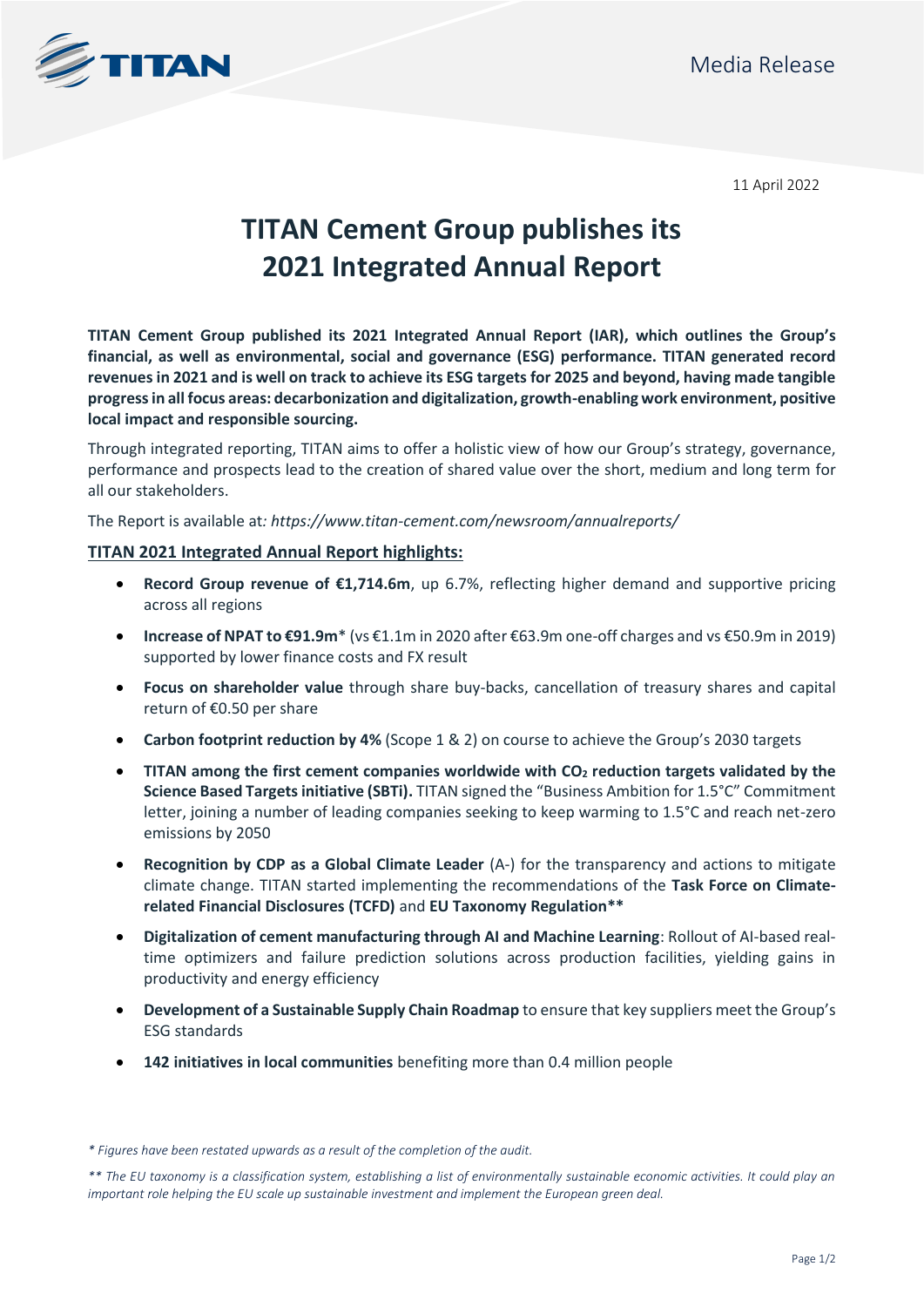

11 April 2022

## **TITAN Cement Group publishes its 2021 Integrated Annual Report**

**TITAN Cement Group published its 2021 Integrated Annual Report (IAR), which outlines the Group's financial, as well as environmental, social and governance (ESG) performance. TITAN generated record revenues in 2021 and is well on track to achieve its ESG targets for 2025 and beyond, having made tangible progress in all focus areas: decarbonization and digitalization, growth-enabling work environment, positive local impact and responsible sourcing.** 

Through integrated reporting, TITAN aims to offer a holistic view of how our Group's strategy, governance, performance and prospects lead to the creation of shared value over the short, medium and long term for all our stakeholders.

The Report is available at*[: https://www.titan-cement.com/newsroom/annualreports/](https://www.titan-cement.com/newsroom/annualreports/)*

## **TITAN 2021 Integrated Annual Report highlights:**

- **Record Group revenue of €1,714.6m**, up 6.7%, reflecting higher demand and supportive pricing across all regions
- **Increase of NPAT to €91.9m**\* (vs €1.1m in 2020 after €63.9m one-off charges and vs €50.9m in 2019) supported by lower finance costs and FX result
- **Focus on shareholder value** through share buy-backs, cancellation of treasury shares and capital return of €0.50 per share
- **Carbon footprint reduction by 4%** (Scope 1 & 2) on course to achieve the Group's 2030 targets
- **TITAN among the first cement companies worldwide with CO<sup>2</sup> reduction targets validated by the Science Based Targets initiative (SBTi).** TITAN signed the "Business Ambition for 1.5°C" Commitment letter, joining a number of leading companies seeking to keep warming to 1.5°C and reach net-zero emissions by 2050
- **Recognition by CDP as a Global Climate Leader** (A-) for the transparency and actions to mitigate climate change. TITAN started implementing the recommendations of the **Task Force on Climaterelated Financial Disclosures (TCFD)** and **EU Taxonomy Regulation\*\***
- **Digitalization of cement manufacturing through AI and Machine Learning**: Rollout of AI-based realtime optimizers and failure prediction solutions across production facilities, yielding gains in productivity and energy efficiency
- **Development of a Sustainable Supply Chain Roadmap** to ensure that key suppliers meet the Group's ESG standards
- **142 initiatives in local communities** benefiting more than 0.4 million people

*<sup>\*</sup> Figures have been restated upwards as a result of the completion of the audit.*

*<sup>\*\*</sup> The EU taxonomy is a classification system, establishing a list of environmentally sustainable economic activities. It could play an important role helping the EU scale up sustainable investment and implement the European green deal.*